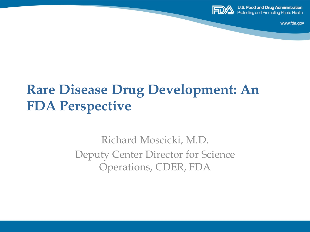

**U.S. Food and Drug Administration Protecting and Promoting Public Health** 

www.fda.gov

# **Rare Disease Drug Development: An FDA Perspective**

Richard Moscicki, M.D. Deputy Center Director for Science Operations, CDER, FDA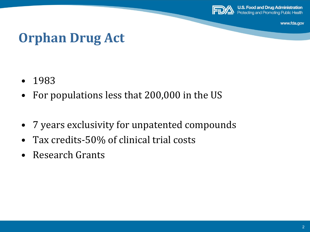

**U.S. Food and Drug Administration Protecting and Promoting Public Health** 

www.fda.gov

#### **Orphan Drug Act**

- 1983
- For populations less that 200,000 in the US
- 7 years exclusivity for unpatented compounds
- Tax credits-50% of clinical trial costs
- Research Grants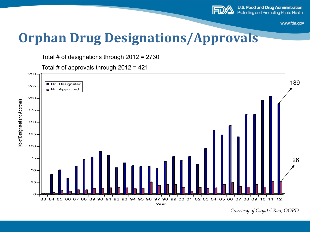

#### **Orphan Drug Designations/Approvals**

Total # of designations through 2012 = 2730

Total # of approvals through  $2012 = 421$ 



*Courtesy of Gayatri Rao, OOPD*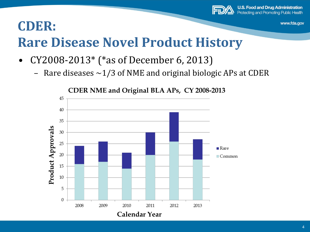

#### **CDER:**

# **Rare Disease Novel Product History**

- CY2008-2013\* (\*as of December 6, 2013)
	- Rare diseases  $\sim$ 1/3 of NME and original biologic APs at CDER



**CDER NME and Original BLA APs, CY 2008-2013**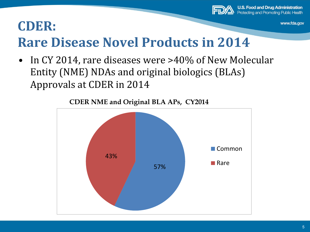

#### **CDER:**

## **Rare Disease Novel Products in 2014**

• In CY 2014, rare diseases were >40% of New Molecular Entity (NME) NDAs and original biologics (BLAs) Approvals at CDER in 2014



**CDER NME and Original BLA APs, CY2014**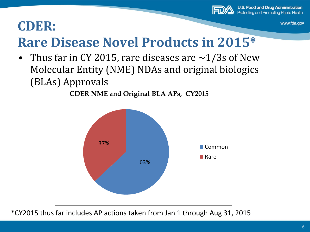

#### **CDER:**

## **Rare Disease Novel Products in 2015\***

• Thus far in CY 2015, rare diseases are  $\sim$ 1/3s of New Molecular Entity (NME) NDAs and original biologics (BLAs) Approvals 



**CDER NME and Original BLA APs, CY2015** 

\*CY2015 thus far includes AP ac8ons taken from Jan 1 through Aug 31, 2015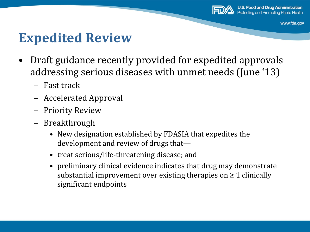

#### **Expedited Review**

- Draft guidance recently provided for expedited approvals addressing serious diseases with unmet needs (June '13)
	- Fast track
	- Accelerated Approval
	- Priority Review
	- Breakthrough
		- New designation established by FDASIA that expedites the development and review of drugs that—
		- treat serious/life-threatening disease; and
		- preliminary clinical evidence indicates that drug may demonstrate substantial improvement over existing therapies on  $\geq 1$  clinically significant endpoints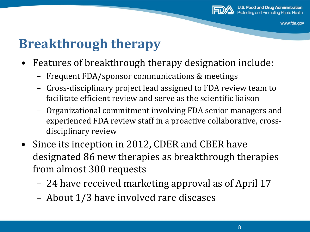

# **Breakthrough therapy**

- Features of breakthrough therapy designation include:
	- Frequent FDA/sponsor communications & meetings
	- Cross-disciplinary project lead assigned to FDA review team to facilitate efficient review and serve as the scientific liaison
	- Organizational commitment involving FDA senior managers and experienced FDA review staff in a proactive collaborative, crossdisciplinary review
- Since its inception in 2012, CDER and CBER have designated 86 new therapies as breakthrough therapies from almost 300 requests
	- 24 have received marketing approval as of April 17
	- About 1/3 have involved rare diseases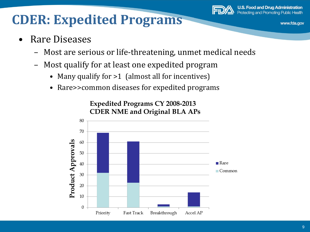

#### **CDER: Expedited Programs**

- Rare Diseases
	- Most are serious or life-threatening, unmet medical needs
	- Most qualify for at least one expedited program
		- Many qualify for >1 (almost all for incentives)
		- Rare>>common diseases for expedited programs

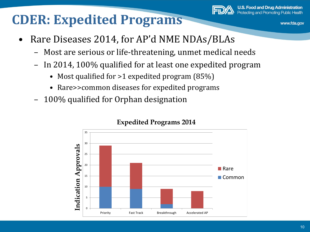#### **CDER: Expedited Programs**



www.fda.gov

- Rare Diseases 2014, for AP'd NME NDAs/BLAs
	- Most are serious or life-threatening, unmet medical needs
	- In 2014, 100% qualified for at least one expedited program
		- Most qualified for  $>1$  expedited program (85%)
		- Rare>>common diseases for expedited programs
	- 100% qualified for Orphan designation



#### **Expedited Programs 2014**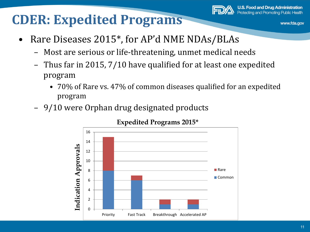#### **CDER: Expedited Programs**



www.fda.gov

- Rare Diseases 2015<sup>\*</sup>, for AP'd NME NDAs/BLAs
	- Most are serious or life-threatening, unmet medical needs
	- Thus far in 2015,  $7/10$  have qualified for at least one expedited program
		- 70% of Rare vs. 47% of common diseases qualified for an expedited program
	- 9/10 were Orphan drug designated products



#### **Expedited Programs 2015\***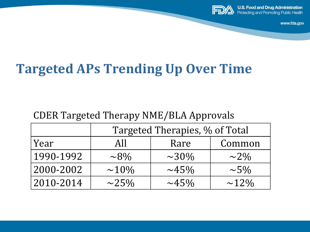

**U.S. Food and Drug Administration Protecting and Promoting Public Health** 

www.fda.gov

#### **Targeted APs Trending Up Over Time**

#### CDER Targeted Therapy NME/BLA Approvals

|           | Targeted Therapies, % of Total |            |            |
|-----------|--------------------------------|------------|------------|
| Year      | AII                            | Rare       | Common     |
| 1990-1992 | $\sim}8\%$                     | $\sim$ 30% | $\sim$ 2%  |
| 2000-2002 | $\sim$ 10%                     | $\sim$ 45% | $\sim 5\%$ |
| 2010-2014 | $\sim$ 25%                     | $\sim$ 45% | $\sim$ 12% |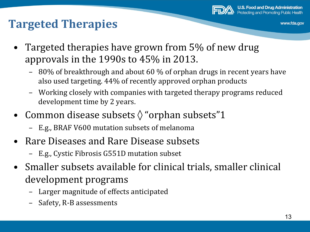

#### **Targeted Therapies**

- Targeted therapies have grown from 5% of new drug approvals in the  $1990s$  to  $45\%$  in 2013.
	- 80% of breakthrough and about 60 % of orphan drugs in recent years have also used targeting. 44% of recently approved orphan products
	- Working closely with companies with targeted therapy programs reduced development time by 2 years.
- Common disease subsets  $\Diamond$  "orphan subsets"1
	- E.g., BRAF V600 mutation subsets of melanoma
- Rare Diseases and Rare Disease subsets
	- E.g., Cystic Fibrosis G551D mutation subset
- Smaller subsets available for clinical trials, smaller clinical development programs
	- Larger magnitude of effects anticipated
	- Safety, R-B assessments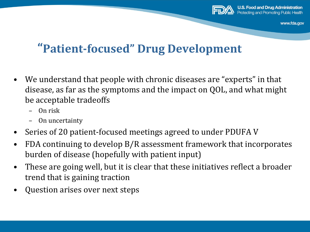

#### **"Patient-focused" Drug Development**

- We understand that people with chronic diseases are "experts" in that disease, as far as the symptoms and the impact on QOL, and what might be acceptable tradeoffs
	- On risk
	- On uncertainty
- Series of 20 patient-focused meetings agreed to under PDUFA V
- FDA continuing to develop B/R assessment framework that incorporates burden of disease (hopefully with patient input)
- These are going well, but it is clear that these initiatives reflect a broader trend that is gaining traction
- Question arises over next steps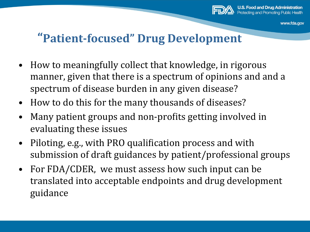

#### **"Patient-focused" Drug Development**

- How to meaningfully collect that knowledge, in rigorous manner, given that there is a spectrum of opinions and and a spectrum of disease burden in any given disease?
- How to do this for the many thousands of diseases?
- Many patient groups and non-profits getting involved in evaluating these issues
- Piloting, e.g., with PRO qualification process and with submission of draft guidances by patient/professional groups
- For FDA/CDER, we must assess how such input can be translated into acceptable endpoints and drug development guidance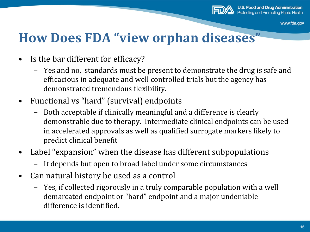

#### **How Does FDA "view orphan diseases"**

- Is the bar different for efficacy?
	- Yes and no, standards must be present to demonstrate the drug is safe and efficacious in adequate and well controlled trials but the agency has demonstrated tremendous flexibility.
- Functional vs "hard" (survival) endpoints
	- Both acceptable if clinically meaningful and a difference is clearly demonstrable due to therapy. Intermediate clinical endpoints can be used in accelerated approvals as well as qualified surrogate markers likely to predict clinical benefit
- Label "expansion" when the disease has different subpopulations
	- It depends but open to broad label under some circumstances
- Can natural history be used as a control
	- Yes, if collected rigorously in a truly comparable population with a well demarcated endpoint or "hard" endpoint and a major undeniable difference is identified.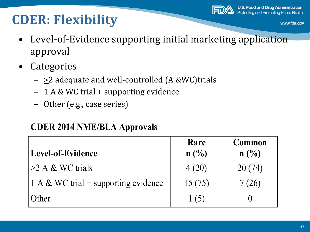#### **CDER: Flexibility**



www.fda.gov

- Level-of-Evidence supporting initial marketing application approval
- Categories
	- $\geq 2$  adequate and well-controlled (A &WC)trials
	- 1 A & WC trial + supporting evidence
	- Other (e.g., case series)

#### **CDER 2014 NME/BLA Approvals**

| <b>Level-of-Evidence</b>             | Rare<br>$n(^{0}/_{0})$ | Common<br>$n(^{0}/_{0})$ |
|--------------------------------------|------------------------|--------------------------|
| $>2$ A & WC trials                   | 4(20)                  | 20(74)                   |
| 1 A & WC trial + supporting evidence | 15(75)                 | 7(26)                    |
| Other                                | $\vert$ (5)            |                          |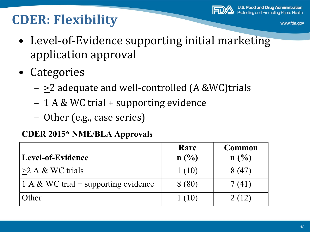# **CDER: Flexibility**

- Level-of-Evidence supporting initial marketing application approval
- Categories
	- $-$  >2 adequate and well-controlled (A &WC)trials
	- 1 A & WC trial + supporting evidence
	- Other (e.g., case series)

#### **CDER 2015\* NME/BLA Approvals**

| Level-of-Evidence                    | Rare<br>$n\left(\frac{0}{0}\right)$ | Common                      |
|--------------------------------------|-------------------------------------|-----------------------------|
|                                      |                                     | $n\left(\frac{0}{0}\right)$ |
| $>2$ A & WC trials                   | 1(10)                               | 8(47)                       |
| 1 A & WC trial + supporting evidence | 8 (80)                              | 7(41)                       |
| Other                                | 1(10)                               | 2(12)                       |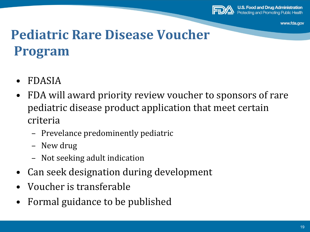

**U.S. Food and Drug Administration** Protecting and Promoting Public Health

www.fda.gov

## **Pediatric Rare Disease Voucher Program**

- FDASIA
- FDA will award priority review voucher to sponsors of rare pediatric disease product application that meet certain criteria
	- Prevelance predominently pediatric
	- New drug
	- Not seeking adult indication
- Can seek designation during development
- Voucher is transferable
- Formal guidance to be published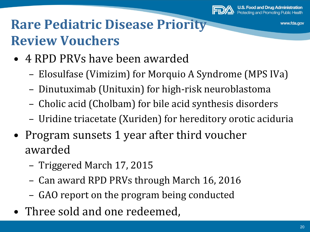

# **Rare Pediatric Disease Priority Review Vouchers**

- 4 RPD PRVs have been awarded
	- Elosulfase (Vimizim) for Morquio A Syndrome (MPS IVa)
	- Dinutuximab (Unituxin) for high-risk neuroblastoma
	- Cholic acid (Cholbam) for bile acid synthesis disorders
	- Uridine triacetate (Xuriden) for hereditory orotic aciduria
- Program sunsets 1 year after third voucher awarded
	- Triggered March 17, 2015
	- Can award RPD PRVs through March 16, 2016
	- GAO report on the program being conducted
- Three sold and one redeemed,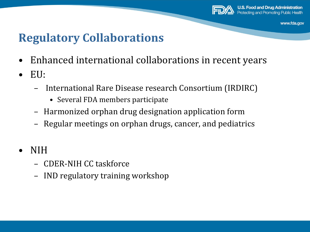

#### **Regulatory Collaborations**

- Enhanced international collaborations in recent years
- EU:
	- International Rare Disease research Consortium (IRDIRC)
		- Several FDA members participate
	- Harmonized orphan drug designation application form
	- Regular meetings on orphan drugs, cancer, and pediatrics
- NIH
	- CDER-NIH CC taskforce
	- IND regulatory training workshop